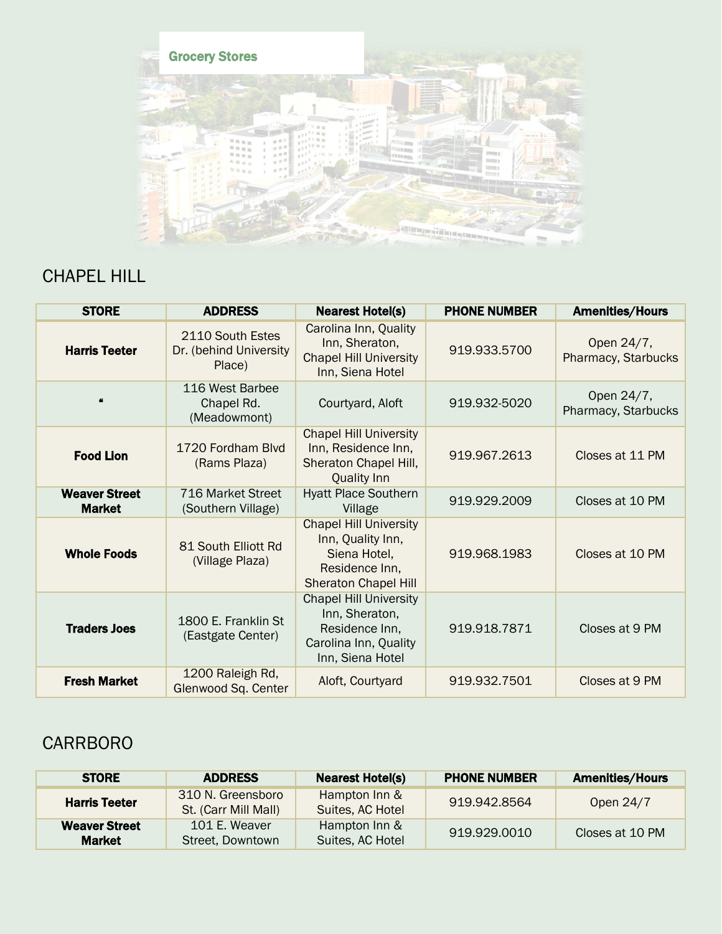

## CHAPEL HILL

| <b>STORE</b>                          | <b>ADDRESS</b>                                       | <b>Nearest Hotel(s)</b>                                                                                             | <b>PHONE NUMBER</b> | <b>Amenities/Hours</b>            |
|---------------------------------------|------------------------------------------------------|---------------------------------------------------------------------------------------------------------------------|---------------------|-----------------------------------|
| <b>Harris Teeter</b>                  | 2110 South Estes<br>Dr. (behind University<br>Place) | Carolina Inn, Quality<br>Inn, Sheraton,<br><b>Chapel Hill University</b><br>Inn, Siena Hotel                        | 919.933.5700        | Open 24/7,<br>Pharmacy, Starbucks |
| $\boldsymbol{\mu}$                    | 116 West Barbee<br>Chapel Rd.<br>(Meadowmont)        | Courtyard, Aloft                                                                                                    | 919.932-5020        | Open 24/7,<br>Pharmacy, Starbucks |
| <b>Food Lion</b>                      | 1720 Fordham Blvd<br>(Rams Plaza)                    | <b>Chapel Hill University</b><br>Inn, Residence Inn,<br>Sheraton Chapel Hill,<br><b>Quality Inn</b>                 | 919.967.2613        | Closes at 11 PM                   |
| <b>Weaver Street</b><br><b>Market</b> | 716 Market Street<br>(Southern Village)              | <b>Hyatt Place Southern</b><br>Village                                                                              | 919.929.2009        | Closes at 10 PM                   |
| <b>Whole Foods</b>                    | 81 South Elliott Rd<br>(Village Plaza)               | <b>Chapel Hill University</b><br>Inn, Quality Inn,<br>Siena Hotel,<br>Residence Inn,<br><b>Sheraton Chapel Hill</b> | 919.968.1983        | Closes at 10 PM                   |
| <b>Traders Joes</b>                   | 1800 E. Franklin St<br>(Eastgate Center)             | <b>Chapel Hill University</b><br>Inn, Sheraton,<br>Residence Inn,<br>Carolina Inn, Quality<br>Inn, Siena Hotel      | 919.918.7871        | Closes at 9 PM                    |
| <b>Fresh Market</b>                   | 1200 Raleigh Rd,<br>Glenwood Sq. Center              | Aloft, Courtyard                                                                                                    | 919.932.7501        | Closes at 9 PM                    |

## CARRBORO

| <b>STORE</b>                          | <b>ADDRESS</b>                            | <b>Nearest Hotel(s)</b>           | <b>PHONE NUMBER</b> | <b>Amenities/Hours</b> |
|---------------------------------------|-------------------------------------------|-----------------------------------|---------------------|------------------------|
| <b>Harris Teeter</b>                  | 310 N. Greensboro<br>St. (Carr Mill Mall) | Hampton Inn &<br>Suites, AC Hotel | 919.942.8564        | Open 24/7              |
| <b>Weaver Street</b><br><b>Market</b> | 101 E. Weaver<br>Street, Downtown         | Hampton Inn &<br>Suites, AC Hotel | 919.929.0010        | Closes at 10 PM        |